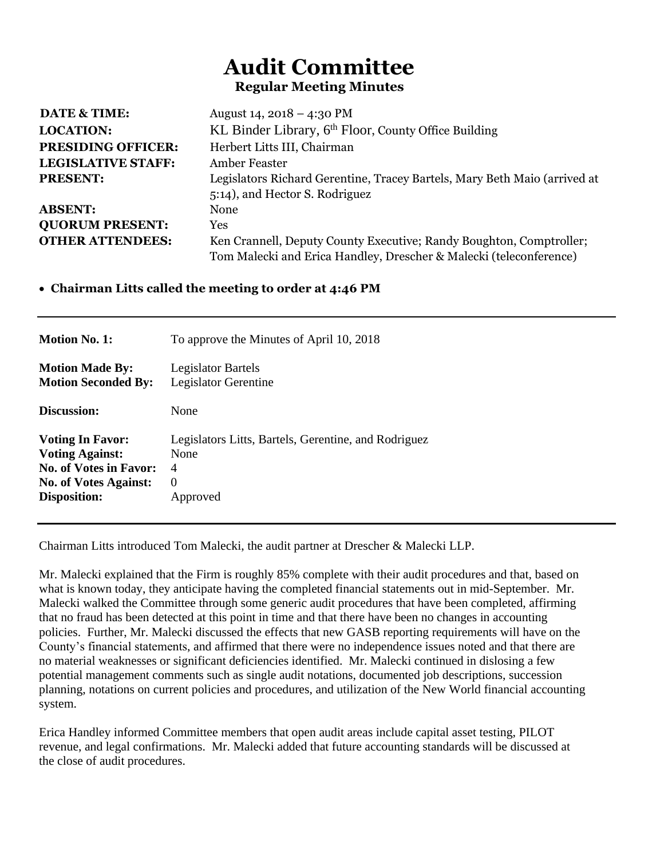# **Audit Committee Regular Meeting Minutes**

| <b>DATE &amp; TIME:</b>   | August 14, 2018 – 4:30 PM                                                 |
|---------------------------|---------------------------------------------------------------------------|
| <b>LOCATION:</b>          | KL Binder Library, 6 <sup>th</sup> Floor, County Office Building          |
| <b>PRESIDING OFFICER:</b> | Herbert Litts III, Chairman                                               |
| LEGISLATIVE STAFF:        | Amber Feaster                                                             |
| <b>PRESENT:</b>           | Legislators Richard Gerentine, Tracey Bartels, Mary Beth Maio (arrived at |
|                           | 5:14), and Hector S. Rodriguez                                            |
| <b>ABSENT:</b>            | None                                                                      |
| <b>QUORUM PRESENT:</b>    | Yes                                                                       |
| <b>OTHER ATTENDEES:</b>   | Ken Crannell, Deputy County Executive; Randy Boughton, Comptroller;       |
|                           | Tom Malecki and Erica Handley, Drescher & Malecki (teleconference)        |

## • **Chairman Litts called the meeting to order at 4:46 PM**

| <b>Motion No. 1:</b>          | To approve the Minutes of April 10, 2018             |
|-------------------------------|------------------------------------------------------|
| <b>Motion Made By:</b>        | <b>Legislator Bartels</b>                            |
| <b>Motion Seconded By:</b>    | Legislator Gerentine                                 |
| Discussion:                   | None                                                 |
| <b>Voting In Favor:</b>       | Legislators Litts, Bartels, Gerentine, and Rodriguez |
| <b>Voting Against:</b>        | None                                                 |
| <b>No. of Votes in Favor:</b> | 4                                                    |
| <b>No. of Votes Against:</b>  | $\Omega$                                             |
| Disposition:                  | Approved                                             |

Chairman Litts introduced Tom Malecki, the audit partner at Drescher & Malecki LLP.

Mr. Malecki explained that the Firm is roughly 85% complete with their audit procedures and that, based on what is known today, they anticipate having the completed financial statements out in mid-September. Mr. Malecki walked the Committee through some generic audit procedures that have been completed, affirming that no fraud has been detected at this point in time and that there have been no changes in accounting policies. Further, Mr. Malecki discussed the effects that new GASB reporting requirements will have on the County's financial statements, and affirmed that there were no independence issues noted and that there are no material weaknesses or significant deficiencies identified. Mr. Malecki continued in dislosing a few potential management comments such as single audit notations, documented job descriptions, succession planning, notations on current policies and procedures, and utilization of the New World financial accounting system.

Erica Handley informed Committee members that open audit areas include capital asset testing, PILOT revenue, and legal confirmations. Mr. Malecki added that future accounting standards will be discussed at the close of audit procedures.